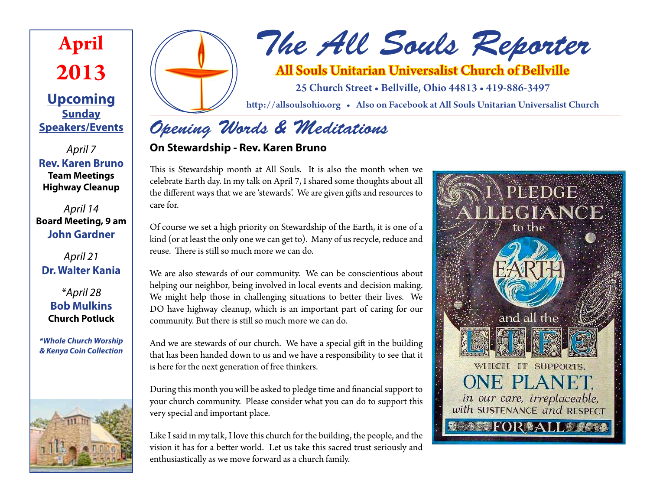

**Upcoming Sunday Speakers/Events**

*April 7* **Rev. Karen Bruno Team Meetings Highway Cleanup**

*April 14* **Board Meeting, 9 am John Gardner**

#### *April 21* **Dr. Walter Kania**

*\*April 28* **Bob Mulkins Church Potluck**

*\*Whole Church Worship & Kenya Coin Collection*





# *The All Souls Reporter*

# All Souls Unitarian Universalist Church of Bellville

25 Church Street • Bellville, Ohio 44813 • 419-886-3497

http://allsoulsohio.org • Also on Facebook at All Souls Unitarian Universalist Church

# *Opening Words & Meditations*

#### **On Stewardship - Rev. Karen Bruno**

This is Stewardship month at All Souls. It is also the month when we celebrate Earth day. In my talk on April 7, I shared some thoughts about all the different ways that we are 'stewards'. We are given gifts and resources to care for.

Of course we set a high priority on Stewardship of the Earth, it is one of a kind (or at least the only one we can get to). Many of us recycle, reduce and reuse. There is still so much more we can do.

We are also stewards of our community. We can be conscientious about helping our neighbor, being involved in local events and decision making. We might help those in challenging situations to better their lives. We DO have highway cleanup, which is an important part of caring for our community. But there is still so much more we can do.

And we are stewards of our church. We have a special gift in the building that has been handed down to us and we have a responsibility to see that it is here for the next generation of free thinkers.

During this month you will be asked to pledge time and financial support to your church community. Please consider what you can do to support this very special and important place.

Like I said in my talk, I love this church for the building, the people, and the vision it has for a better world. Let us take this sacred trust seriously and enthusiastically as we move forward as a church family.

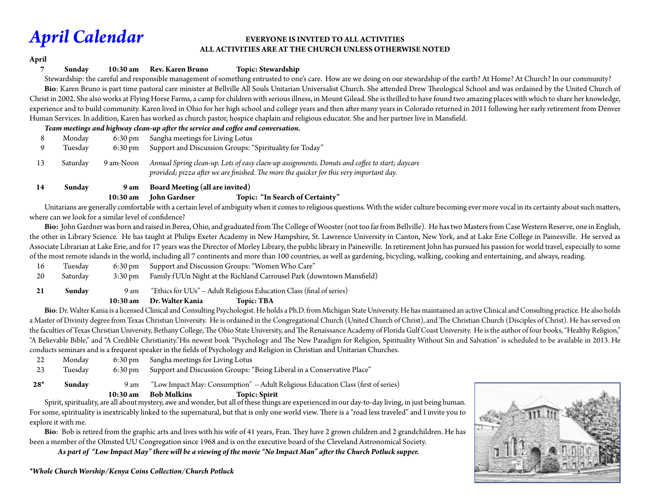**April**

#### *April Calendar* **EVERYONE IS INVITED TO ALL ACTIVITIES ALL ACTIVITIES ARE AT THE CHURCH UNLESS OTHERWISE NOTED**

**7 Sunday 10:30 am Rev. Karen Bruno Topic: Stewardship**

Stewardship: the careful and responsible management of something entrusted to one's care. How are we doing on our stewardship of the earth? At Home? At Church? In our community? **Bio**: Karen Bruno is part time pastoral care minister at Bellville All Souls Unitarian Universalist Church. She attended Drew Theological School and was ordained by the United Church of Christ in 2002. She also works at Flying Horse Farms, a camp for children with serious illness, in Mount Gilead. She is thrilled to have found two amazing places with which to share her knowledge, experience and to build community. Karen lived in Ohio for her high school and college years and then after many years in Colorado returned in 2011 following her early retirement from Denver Human Services. In addition, Karen has worked as church pastor, hospice chaplain and religious educator. She and her partner live in Mansfield.

#### *Team meetings and highway clean-up after the service and coffee and conversation.*

| 9  | Monday   | $6:30 \,\mathrm{pm}$ | Sangha meetings for Living Lotus                                                                                                                                                           |
|----|----------|----------------------|--------------------------------------------------------------------------------------------------------------------------------------------------------------------------------------------|
|    | Tuesday  | $6:30 \text{ pm}$    | Support and Discussion Groups: "Spirituality for Today"                                                                                                                                    |
| 13 | Saturdav | 9 am-Noon            | Annual Spring clean-up. Lots of easy claen-up assignments. Donuts and coffee to start; daycare<br>provided; pizza after we are finished. The more the quicker for this very important day. |

#### **14 Sunday 9 am Board Meeting (all are invited)**

#### **10:30 am John Gardner Topic: "In Search of Certainty"**

Unitarians are generally comfortable with a certain level of ambiguity when it comes to religious questions. With the wider culture becoming ever more vocal in its certainty about such matters, where can we look for a similar level of confidence?

 **Bio:** John Gardner was born and raised in Berea, Ohio, and graduated from The College of Wooster (not too far from Bellville). He has two Masters from Case Western Reserve, one in English, the other in Library Science. He has taught at Philips Exeter Academy in New Hampshire, St. Lawrence University in Canton, New York, and at Lake Erie College in Painesville. He served as Associate Librarian at Lake Erie, and for 17 years was the Director of Morley Library, the public library in Painesville. In retirement John has pursued his passion for world travel, especially to some of the most remote islands in the world, including all 7 continents and more than 100 countries, as well as gardening, bicycling, walking, cooking and entertaining, and always, reading.

- 16 Tuesday 6:30 pm Support and Discussion Groups: "Women Who Care"
- 20 Saturday 3:30 pm Family f UUn Night at the Richland Carrousel Park (downtown Mansfield)
- **21 Sunday** 9 am "Ethics for UUs" -- Adult Religious Education Class (final of series)

#### **10:30 am Dr. Walter Kania Topic: TBA**

 **Bio**: Dr. Walter Kania is a licensed Clinical and Consulting Psychologist. He holds a Ph.D. from Michigan State University. He has maintained an active Clinical and Consulting practice. He also holds a Master of Divinity degree from Texas Christian University. He is ordained in the Congregational Church (United Church of Christ), and The Christian Church (Disciples of Christ). He has served on the faculties of Texas Christian University, Bethany College, The Ohio State University, and The Renaissance Academy of Florida Gulf Coast University. He is the author of four books, "Healthy Religion," "A Believable Bible," and "A Credible Christianity."His newest book "Psychology and The New Paradigm for Religion, Spirituality Without Sin and Salvation" is scheduled to be available in 2013. He conducts seminars and is a frequent speaker in the fields of Psychology and Religion in Christian and Unitarian Churches.

22 Monday 6:30 pm Sangha meetings for Living Lotus 23 Tuesday 6:30 pm Support and Discussion Groups: "Being Liberal in a Conservative Place" 28<sup>\*</sup> **Sunday** 9 am "Low Impact May: Consumption" -- Adult Religious Education Class (first of series)

**10:30 am Bob Mulkins 10:30 am Bob Mulkins Topic: Spirit** Spirit Spirit, spirituality, are all about mystery, awe and wonder, but all of these things are experienced in our day-to-day living, in just being human. For some, spirituality is inextricably linked to the supernatural, but that is only one world view. There is a "road less traveled" and I invite you to explore it with me.

 **Bio**: Bob is retired from the graphic arts and lives with his wife of 41 years, Fran. They have 2 grown children and 2 grandchildren. He has been a member of the Olmsted UU Congregation since 1968 and is on the executive board of the Cleveland Astronomical Society.

 *As part of "Low Impact May" there will be a viewing of the movie "No Impact Man" after the Church Potluck supper.*

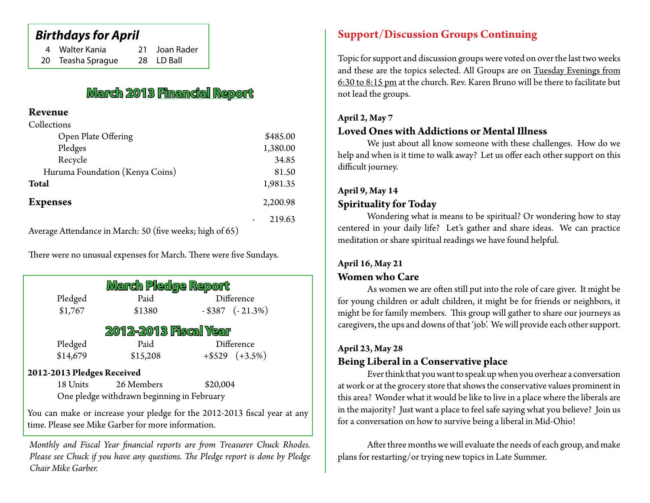### *Birthdays for April*

| 4 Walter Kania    | 21 Joan Rader |
|-------------------|---------------|
| 20 Teasha Sprague | 28 LD Ball    |

# **March 2013 Financial Report**

#### **Revenue**  $\sim$  11  $\sim$

| Collections                       |          |
|-----------------------------------|----------|
| Open Plate Offering               | \$485.00 |
| Pledges                           | 1,380.00 |
| Recycle                           | 34.85    |
| Huruma Foundation (Kenya Coins)   | 81.50    |
| <b>Total</b>                      | 1,981.35 |
| <b>Expenses</b>                   | 2,200.98 |
|                                   | 219.63   |
| $1 \quad 1 \quad 1 \quad 2 \quad$ |          |

Average Attendance in March: 50 (five weeks; high of 65)

There were no unusual expenses for March. There were five Sundays.

| March Pledge Report        |                                            |                      |  |  |  |  |  |  |
|----------------------------|--------------------------------------------|----------------------|--|--|--|--|--|--|
| Pledged                    | Paid                                       | Difference           |  |  |  |  |  |  |
| \$1,767                    | \$1380                                     | $-$ \$387 $(-21.3%)$ |  |  |  |  |  |  |
| 2012-2013 Fiscal Year      |                                            |                      |  |  |  |  |  |  |
| Pledged                    | Paid                                       | Difference           |  |  |  |  |  |  |
| \$14,679                   | \$15,208                                   | $+$ \$529 (+3.5%)    |  |  |  |  |  |  |
| 2012-2013 Pledges Received |                                            |                      |  |  |  |  |  |  |
| 18 Units                   | 26 Members                                 | \$20,004             |  |  |  |  |  |  |
|                            | One pledge withdrawn beginning in February |                      |  |  |  |  |  |  |
|                            |                                            |                      |  |  |  |  |  |  |

You can make or increase your pledge for the 2012-2013 fiscal year at any time. Please see Mike Garber for more information.

*Monthly and Fiscal Year financial reports are from Treasurer Chuck Rhodes. Please see Chuck if you have any questions. The Pledge report is done by Pledge Chair Mike Garber.*

#### **Support/Discussion Groups Continuing**

Topic for support and discussion groups were voted on over the last two weeks and these are the topics selected. All Groups are on Tuesday Evenings from 6:30 to 8:15 pm at the church. Rev. Karen Bruno will be there to facilitate but not lead the groups.

#### **April 2, May 7**

#### **Loved Ones with Addictions or Mental Illness**

We just about all know someone with these challenges. How do we help and when is it time to walk away? Let us offer each other support on this difficult journey.

### **April 9, May 14 Spirituality for Today**

Wondering what is means to be spiritual? Or wondering how to stay centered in your daily life? Let's gather and share ideas. We can practice meditation or share spiritual readings we have found helpful.

#### **April 16, May 21 Women who Care**

As women we are often still put into the role of care giver. It might be for young children or adult children, it might be for friends or neighbors, it might be for family members. This group will gather to share our journeys as caregivers, the ups and downs of that 'job'. We will provide each other support.

#### **April 23, May 28**

#### **Being Liberal in a Conservative place**

Ever think that you want to speak up when you overhear a conversation at work or at the grocery store that shows the conservative values prominent in this area? Wonder what it would be like to live in a place where the liberals are in the majority? Just want a place to feel safe saying what you believe? Join us for a conversation on how to survive being a liberal in Mid-Ohio!

After three months we will evaluate the needs of each group, and make plans for restarting/or trying new topics in Late Summer.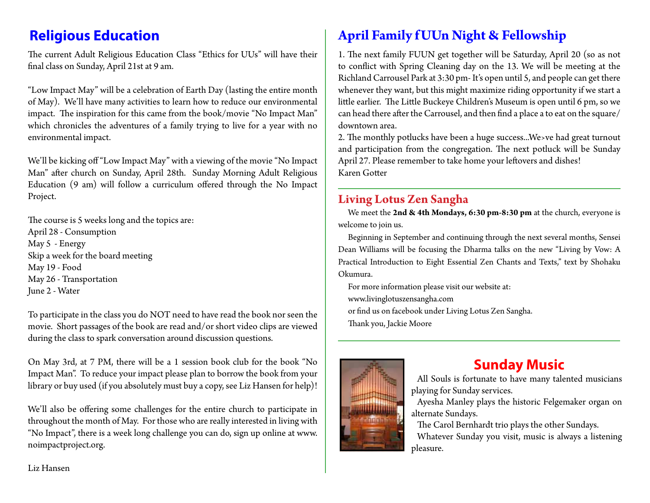The current Adult Religious Education Class "Ethics for UUs" will have their final class on Sunday, April 21st at 9 am.

"Low Impact May" will be a celebration of Earth Day (lasting the entire month of May). We'll have many activities to learn how to reduce our environmental impact. The inspiration for this came from the book/movie "No Impact Man" which chronicles the adventures of a family trying to live for a year with no environmental impact.

We'll be kicking off "Low Impact May" with a viewing of the movie "No Impact Man" after church on Sunday, April 28th. Sunday Morning Adult Religious Education (9 am) will follow a curriculum offered through the No Impact Project.

The course is 5 weeks long and the topics are: April 28 - Consumption May 5 - Energy Skip a week for the board meeting May 19 - Food May 26 - Transportation June 2 - Water

To participate in the class you do NOT need to have read the book nor seen the movie. Short passages of the book are read and/or short video clips are viewed during the class to spark conversation around discussion questions.

On May 3rd, at 7 PM, there will be a 1 session book club for the book "No Impact Man". To reduce your impact please plan to borrow the book from your library or buy used (if you absolutely must buy a copy, see Liz Hansen for help)!

We'll also be offering some challenges for the entire church to participate in throughout the month of May. For those who are really interested in living with "No Impact", there is a week long challenge you can do, sign up online at www. noimpactproject.org.

# **Religious Education April Family f UUn Night & Fellowship**

1. The next family FUUN get together will be Saturday, April 20 (so as not to conflict with Spring Cleaning day on the 13. We will be meeting at the Richland Carrousel Park at 3:30 pm- It's open until 5, and people can get there whenever they want, but this might maximize riding opportunity if we start a little earlier. The Little Buckeye Children's Museum is open until 6 pm, so we can head there after the Carrousel, and then find a place a to eat on the square/ downtown area.

2. The monthly potlucks have been a huge success...We›ve had great turnout and participation from the congregation. The next potluck will be Sunday April 27. Please remember to take home your leftovers and dishes! Karen Gotter

#### **Living Lotus Zen Sangha**

We meet the **2nd & 4th Mondays, 6:30 pm-8:30 pm** at the church, everyone is welcome to join us.

Beginning in September and continuing through the next several months, Sensei Dean Williams will be focusing the Dharma talks on the new "Living by Vow: A Practical Introduction to Eight Essential Zen Chants and Texts," text by Shohaku Okumura.

For more information please visit our website at: www.livinglotuszensangha.com or find us on facebook under Living Lotus Zen Sangha. Thank you, Jackie Moore



# **Sunday Music**

All Souls is fortunate to have many talented musicians playing for Sunday services.

Ayesha Manley plays the historic Felgemaker organ on alternate Sundays.

The Carol Bernhardt trio plays the other Sundays. Whatever Sunday you visit, music is always a listening pleasure.

Liz Hansen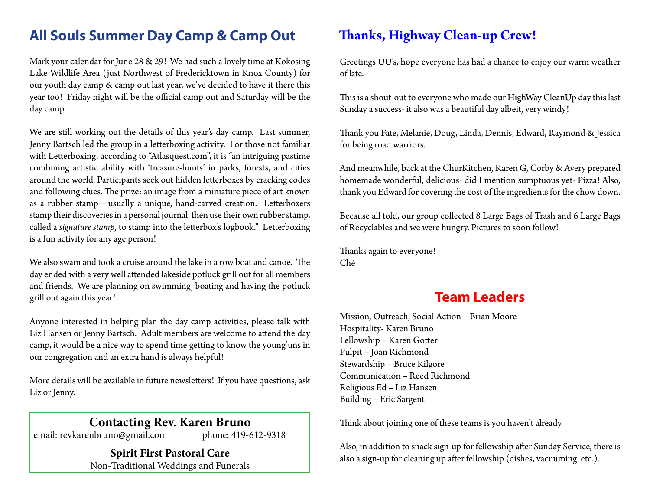# **All Souls Summer Day Camp & Camp Out**

Mark your calendar for June 28 & 29! We had such a lovely time at Kokosing Lake Wildlife Area (just Northwest of Fredericktown in Knox County) for our youth day camp & camp out last year, we've decided to have it there this year too! Friday night will be the official camp out and Saturday will be the day camp.

We are still working out the details of this year's day camp. Last summer, Jenny Bartsch led the group in a letterboxing activity. For those not familiar with Letterboxing, according to "Atlasquest.com", it is "an intriguing pastime combining artistic ability with 'treasure-hunts' in parks, forests, and cities around the world. Participants seek out hidden letterboxes by cracking codes and following clues. The prize: an image from a miniature piece of art known as a rubber stamp—usually a unique, hand-carved creation. Letterboxers stamp their discoveries in a personal journal, then use their own rubber stamp, called a *signature stamp*, to stamp into the letterbox's logbook." Letterboxing is a fun activity for any age person!

We also swam and took a cruise around the lake in a row boat and canoe. The day ended with a very well attended lakeside potluck grill out for all members and friends. We are planning on swimming, boating and having the potluck grill out again this year!

Anyone interested in helping plan the day camp activities, please talk with Liz Hansen or Jenny Bartsch. Adult members are welcome to attend the day camp, it would be a nice way to spend time getting to know the young'uns in our congregation and an extra hand is always helpful!

More details will be available in future newsletters! If you have questions, ask Liz or Jenny.

### **Contacting Rev. Karen Bruno**

email: revkarenbruno@gmail.com phone: 419-612-9318

**Spirit First Pastoral Care** Non-Traditional Weddings and Funerals

# **Thanks, Highway Clean-up Crew!**

Greetings UU's, hope everyone has had a chance to enjoy our warm weather of late.

This is a shout-out to everyone who made our HighWay CleanUp day this last Sunday a success- it also was a beautiful day albeit, very windy!

Thank you Fate, Melanie, Doug, Linda, Dennis, Edward, Raymond & Jessica for being road warriors.

And meanwhile, back at the ChurKitchen, Karen G, Corby & Avery prepared homemade wonderful, delicious- did I mention sumptuous yet- Pizza! Also, thank you Edward for covering the cost of the ingredients for the chow down.

Because all told, our group collected 8 Large Bags of Trash and 6 Large Bags of Recyclables and we were hungry. Pictures to soon follow!

Thanks again to everyone! Ché

# **Team Leaders**

Mission, Outreach, Social Action – Brian Moore Hospitality- Karen Bruno Fellowship – Karen Gotter Pulpit – Joan Richmond Stewardship – Bruce Kilgore Communication – Reed Richmond Religious Ed – Liz Hansen Building – Eric Sargent

Think about joining one of these teams is you haven't already.

Also, in addition to snack sign-up for fellowship after Sunday Service, there is also a sign-up for cleaning up after fellowship (dishes, vacuuming. etc.).